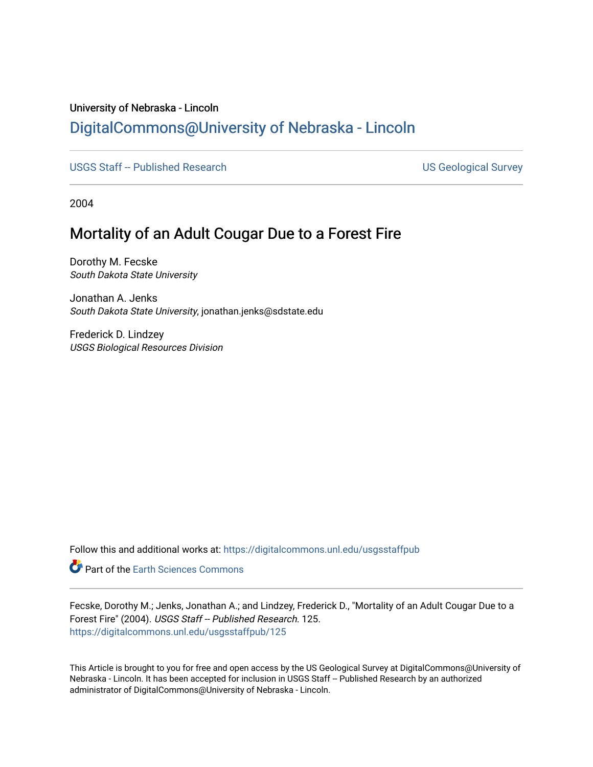## University of Nebraska - Lincoln [DigitalCommons@University of Nebraska - Lincoln](https://digitalcommons.unl.edu/)

[USGS Staff -- Published Research](https://digitalcommons.unl.edu/usgsstaffpub) USGS Staff -- Published Research

2004

## Mortality of an Adult Cougar Due to a Forest Fire

Dorothy M. Fecske South Dakota State University

Jonathan A. Jenks South Dakota State University, jonathan.jenks@sdstate.edu

Frederick D. Lindzey USGS Biological Resources Division

Follow this and additional works at: [https://digitalcommons.unl.edu/usgsstaffpub](https://digitalcommons.unl.edu/usgsstaffpub?utm_source=digitalcommons.unl.edu%2Fusgsstaffpub%2F125&utm_medium=PDF&utm_campaign=PDFCoverPages) 

Part of the [Earth Sciences Commons](http://network.bepress.com/hgg/discipline/153?utm_source=digitalcommons.unl.edu%2Fusgsstaffpub%2F125&utm_medium=PDF&utm_campaign=PDFCoverPages) 

Fecske, Dorothy M.; Jenks, Jonathan A.; and Lindzey, Frederick D., "Mortality of an Adult Cougar Due to a Forest Fire" (2004). USGS Staff -- Published Research. 125. [https://digitalcommons.unl.edu/usgsstaffpub/125](https://digitalcommons.unl.edu/usgsstaffpub/125?utm_source=digitalcommons.unl.edu%2Fusgsstaffpub%2F125&utm_medium=PDF&utm_campaign=PDFCoverPages) 

This Article is brought to you for free and open access by the US Geological Survey at DigitalCommons@University of Nebraska - Lincoln. It has been accepted for inclusion in USGS Staff -- Published Research by an authorized administrator of DigitalCommons@University of Nebraska - Lincoln.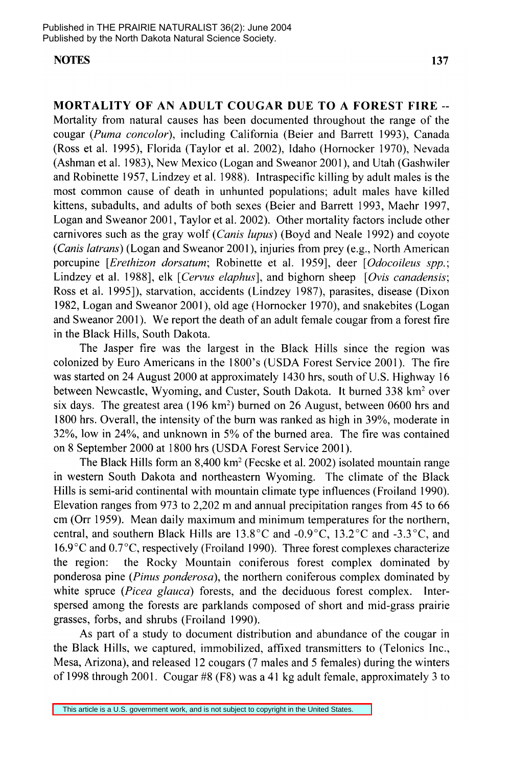## **NOTES 137**

**MORTALITY OF AN ADULT COUGAR DUE TO A FOREST FIRE--** Mortality from natural causes has been documented throughout the range of the cougar *(Puma concolor),* including California (Beier and Barrett 1993), Canada (Ross et al. 1995), Florida (Taylor et al. 2002), Idaho (Hornocker 1970), Nevada (Ashman et al. 1983), New Mexico (Logan and Sweanor 2001), and Utah (Gashwiler and Robinette 1957, Lindzey et al. 1988). Intraspecific killing by adult males is the most common cause of death in unhunted populations; adult males have killed kittens, subadults, and adults of both sexes (Beier and Barrett 1993, Maehr 1997, Logan and Sweanor 2001, Taylor et al. 2002). Other mortality factors include other carnivores such as the gray wolf *(Canis lupus)* (Boyd and Neale 1992) and coyote *(Canis latrans)* (Logan and Sweanor 2001), injuries from prey (e.g., North American porcupine *[Erethizon dorsatum;* Robinette et al. 1959], deer *[Odocoileus spp.;*  Lindzey et al. 1988], elk *[Cervus elaphus],* and bighorn sheep *[Ovis canadensis;*  Ross et al. 1995]), starvation, accidents (Lindzey 1987), parasites, disease (Dixon 1982, Logan and Sweanor 2001), old age (Hornocker 1970), and snakebites (Logan and Sweanor 2001). We report the death of an adult female cougar from a forest fire in the Black Hills, South Dakota.

The Jasper fire was the largest in the Black Hills since the region was colonized by Euro Americans in the 1800's (USDA Forest Service 2001). The fire was started on 24 August 2000 at approximately 1430 hrs, south of U.S. Highway 16 between Newcastle, Wyoming, and Custer, South Dakota. It burned 338 km<sup>2</sup> over six days. The greatest area  $(196 \text{ km}^2)$  burned on 26 August, between 0600 hrs and 1800 hrs. Overall, the intensity of the burn was ranked as high in 39%, moderate in 32%, low in 24%, and unknown in 5% of the burned area. The fire was contained on 8 September 2000 at 1800 hrs (USDA Forest Service 2001).

The Black Hills form an 8,400 km2 (Fecske et al. 2002) isolated mountain range in western South Dakota and northeastern Wyoming. The climate of the Black Hills is semi-arid continental with mountain climate type influences (Froiland 1990). Elevation ranges from 973 to 2,202 m and annual precipitation ranges from 45 to 66 cm (Orr 1959). Mean daily maximum and minimum temperatures for the northern, central, and southern Black Hills are 13.8°C and -0.9°C, 13.2°C and -3.3°C, and 16.9°C and 0.7 °C, respectively (Froiland 1990). Three forest complexes characterize the region: the Rocky Mountain coniferous forest complex dominated by ponderosa pine *(Pinus ponderosa),* the northern coniferous complex dominated by white spruce *(Picea glauca)* forests, and the deciduous forest complex. Interspersed among the forests are parklands composed of short and mid-grass prairie grasses, forbs, and shrubs (Froiland 1990).

As part of a study to document distribution and abundance of the cougar in the Black Hills, we captured, immobilized, affixed transmitters to (Telonics Inc., Mesa, Arizona), and released 12 cougars (7 males and 5 females) during the winters of 1998 through 2001. Cougar #8 (F8) was a 41 kg adult female, approximately 3 to

This article is a U.S. government work, and is not subject to copyright in the United States.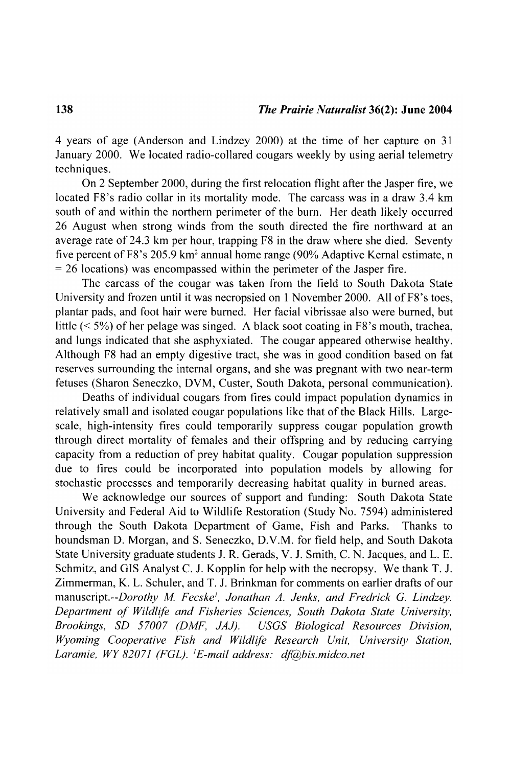4 years of age (Anderson and Lindzey 2000) at the time of her capture on 31 January 2000. We located radio-collared cougars weekly by using aerial telemetry techniques.

On 2 September 2000, during the first relocation flight after the Jasper fire, we located F8's radio collar in its mortality mode. The carcass was in a draw 3.4 km south of and within the northern perimeter of the burn. Her death likely occurred 26 August when strong winds from the south directed the fire northward at an average rate of 24.3 km per hour, trapping  $F8$  in the draw where she died. Seventy five percent of F8's 205.9 km<sup>2</sup> annual home range (90% Adaptive Kernal estimate, n  $=26$  locations) was encompassed within the perimeter of the Jasper fire.

The carcass of the cougar was taken from the field to South Dakota State University and frozen until it was necropsied on 1 November 2000. All of F8's toes, plantar pads, and foot hair were burned. Her facial vibrissae also were burned, but little  $(< 5\%)$  of her pelage was singed. A black soot coating in F8's mouth, trachea, and lungs indicated that she asphyxiated. The cougar appeared otherwise healthy. Although F8 had an empty digestive tract, she was in good condition based on fat reserves surrounding the internal organs, and she was pregnant with two near-term fetuses (Sharon Seneczko, DVM, Custer, South Dakota, personal communication).

Deaths of individual cougars from fires could impact population dynamics in relatively small and isolated cougar populations like that of the Black Hills. Largescale, high-intensity fires could temporarily suppress cougar population growth through direct mortality of females and their offspring and by reducing carrying capacity from a reduction of prey habitat quality. Cougar population suppression due to fires could be incorporated into population models by allowing for stochastic processes and temporarily decreasing habitat quality in burned areas.

We acknowledge our sources of support and funding: South Dakota State University and Federal Aid to Wildlife Restoration (Study No. 7594) administered through the South Dakota Department of Game, Fish and Parks. Thanks to houndsman D. Morgan, and S. Seneczko, D.V.M. for field help, and South Dakota State University graduate students J. R. Gerads, V. J. Smith, C. N. Jacques, and L. E. Schmitz, and GIS Analyst C. J. Kopplin for help with the necropsy. We thank T. J. Zimmerman, K. L. Schuler, and T. J. Brinkman for comments on earlier drafts of our *manuscript.--Dorothy M Fecske', Jonathan A. Jenks, and Fredrick* G. *Lindzey. Department of Wildltie and Fisheries Sciences, South Dakota State University, Brookings, SD 57007 (DMF, JAJ). USGS Biological Resources Division, Wyoming Cooperative Fish and Wildltie Research Unit, University Station,*  Laramie, WY 82071 (FGL). <sup>1</sup>E-mail address: df@bis.midco.net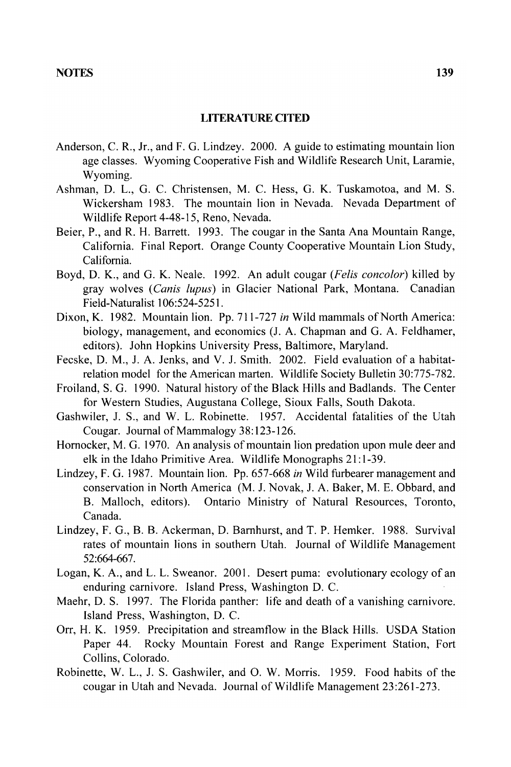## **LITERATURE CITED**

- Anderson, C. R., Jr., and F. G. Lindzey. 2000. A guide to estimating mountain lion age classes. Wyoming Cooperative Fish and Wildlife Research Unit, Laramie, Wyoming.
- Ashman, D. L., G. C. Christensen, M. C. Hess, G. K. Tuskamotoa, and M. S. Wickersham 1983. The mountain lion in Nevada. Nevada Department of Wildlife Report 4-48-15, Reno, Nevada.
- Beier, P., and R. H. Barrett. 1993. The cougar in the Santa Ana Mountain Range, California. Final Report. Orange County Cooperative Mountain Lion Study, California.
- Boyd, D. K., and G. K. Neale. 1992. An adult cougar *(Felis concolor)* killed by gray wolves *(Canis lupus)* in Glacier National Park, Montana. Canadian Field-Naturalist 106:524-5251.
- Dixon, K. 1982. Mountain lion. Pp. 711-727 *in* Wild mammals of North America: biology, management, and economics (J. A. Chapman and G. A. Feldhamer, editors). John Hopkins University Press, Baltimore, Maryland.
- Fecske, D. M., J. A. Jenks, and V. J. Smith. 2002. Field evaluation of a habitatrelation model for the American marten. Wildlife Society Bulletin 30:775-782.
- Froiland, S. G. 1990. Natural history of the Black Hills and Badlands. The Center for Western Studies, Augustana College, Sioux Falls, South Dakota.
- Gashwiler, J. S., and W. L. Robinette. 1957. Accidental fatalities of the Utah Cougar. Journal of Mammalogy 38: 123-126.
- Hornocker, M. G. 1970. An analysis of mountain lion predation upon mule deer and elk in the Idaho Primitive Area. Wildlife Monographs 21: 1-39.
- Lindzey, F. G. 1987. Mountain lion. Pp. 657-668 *in* Wild furbearer management and conservation in North America (M. J. Novak, J. A. Baker, M. E. Obbard, and B. Malloch, editors). Ontario Ministry of Natural Resources, Toronto, Canada.
- Lindzey, F. G., B. B. Ackerman, D. Barnhurst, and T. P. Hemker. 1988. Survival rates of mountain lions in southern Utah. Journal of Wildlife Management 52:664-667.
- Logan, K. A., and L. L. Sweanor. 2001. Desert puma: evolutionary ecology of an enduring carnivore. Island Press, Washington D. C.
- Maehr, D. S. 1997. The Florida panther: life and death of a vanishing carnivore. Island Press, Washington, D. C.
- Orr, H. K. 1959. Precipitation and streamflow in the Black Hills. USDA Station Paper 44. Rocky Mountain Forest and Range Experiment Station, Fort Collins, Colorado.
- Robinette, W. L., J. S. Gashwiler, and O. W. Morris. 1959. Food habits of the cougar in Utah and Nevada. Journal of Wildlife Management 23:261-273.